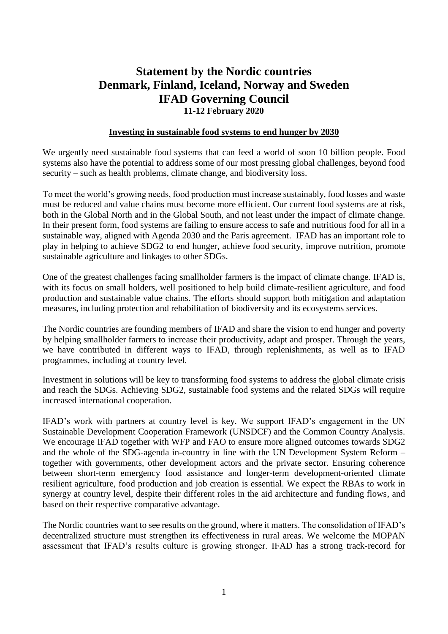# **Statement by the Nordic countries Denmark, Finland, Iceland, Norway and Sweden IFAD Governing Council 11-12 February 2020**

#### **Investing in sustainable food systems to end hunger by 2030**

We urgently need sustainable food systems that can feed a world of soon 10 billion people. Food systems also have the potential to address some of our most pressing global challenges, beyond food security – such as health problems, climate change, and biodiversity loss.

To meet the world's growing needs, food production must increase sustainably, food losses and waste must be reduced and value chains must become more efficient. Our current food systems are at risk, both in the Global North and in the Global South, and not least under the impact of climate change. In their present form, food systems are failing to ensure access to safe and nutritious food for all in a sustainable way, aligned with Agenda 2030 and the Paris agreement. IFAD has an important role to play in helping to achieve SDG2 to end hunger, achieve food security, improve nutrition, promote sustainable agriculture and linkages to other SDGs.

One of the greatest challenges facing smallholder farmers is the impact of climate change. IFAD is, with its focus on small holders, well positioned to help build climate-resilient agriculture, and food production and sustainable value chains. The efforts should support both mitigation and adaptation measures, including protection and rehabilitation of biodiversity and its ecosystems services.

The Nordic countries are founding members of IFAD and share the vision to end hunger and poverty by helping smallholder farmers to increase their productivity, adapt and prosper. Through the years, we have contributed in different ways to IFAD, through replenishments, as well as to IFAD programmes, including at country level.

Investment in solutions will be key to transforming food systems to address the global climate crisis and reach the SDGs. Achieving SDG2, sustainable food systems and the related SDGs will require increased international cooperation.

IFAD's work with partners at country level is key. We support IFAD's engagement in the UN Sustainable Development Cooperation Framework (UNSDCF) and the Common Country Analysis. We encourage IFAD together with WFP and FAO to ensure more aligned outcomes towards SDG2 and the whole of the SDG-agenda in-country in line with the UN Development System Reform – together with governments, other development actors and the private sector. Ensuring coherence between short-term emergency food assistance and longer-term development-oriented climate resilient agriculture, food production and job creation is essential. We expect the RBAs to work in synergy at country level, despite their different roles in the aid architecture and funding flows, and based on their respective comparative advantage.

The Nordic countries want to see results on the ground, where it matters. The consolidation of IFAD's decentralized structure must strengthen its effectiveness in rural areas. We welcome the MOPAN assessment that IFAD's results culture is growing stronger. IFAD has a strong track-record for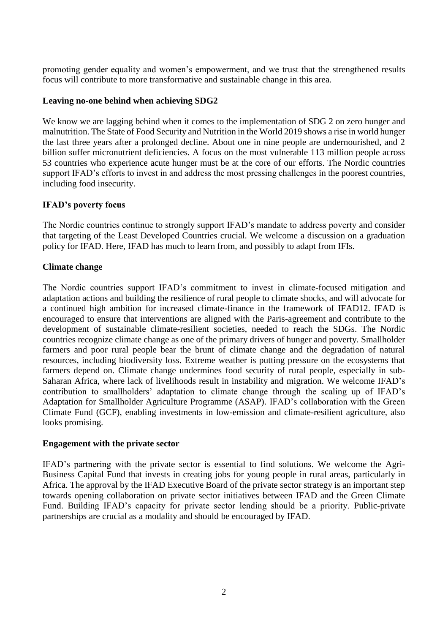promoting gender equality and women's empowerment, and we trust that the strengthened results focus will contribute to more transformative and sustainable change in this area.

#### **Leaving no-one behind when achieving SDG2**

We know we are lagging behind when it comes to the implementation of SDG 2 on zero hunger and malnutrition. The State of Food Security and Nutrition in the World 2019 shows a rise in world hunger the last three years after a prolonged decline. About one in nine people are undernourished, and 2 billion suffer micronutrient deficiencies. A focus on the most vulnerable 113 million people across 53 countries who experience acute hunger must be at the core of our efforts. The Nordic countries support IFAD's efforts to invest in and address the most pressing challenges in the poorest countries, including food insecurity.

# **IFAD's poverty focus**

The Nordic countries continue to strongly support IFAD's mandate to address poverty and consider that targeting of the Least Developed Countries crucial. We welcome a discussion on a graduation policy for IFAD. Here, IFAD has much to learn from, and possibly to adapt from IFIs.

# **Climate change**

The Nordic countries support IFAD's commitment to invest in climate-focused mitigation and adaptation actions and building the resilience of rural people to climate shocks, and will advocate for a continued high ambition for increased climate-finance in the framework of IFAD12. IFAD is encouraged to ensure that interventions are aligned with the Paris-agreement and contribute to the development of sustainable climate-resilient societies, needed to reach the SDGs. The Nordic countries recognize climate change as one of the primary drivers of hunger and poverty. Smallholder farmers and poor rural people bear the brunt of climate change and the degradation of natural resources, including biodiversity loss. Extreme weather is putting pressure on the ecosystems that farmers depend on. Climate change undermines food security of rural people, especially in sub-Saharan Africa, where lack of livelihoods result in instability and migration. We welcome IFAD's contribution to smallholders' adaptation to climate change through the scaling up of IFAD's Adaptation for Smallholder Agriculture Programme (ASAP). IFAD's collaboration with the Green Climate Fund (GCF), enabling investments in low-emission and climate-resilient agriculture, also looks promising.

#### **Engagement with the private sector**

IFAD's partnering with the private sector is essential to find solutions. We welcome the Agri-Business Capital Fund that invests in creating jobs for young people in rural areas, particularly in Africa. The approval by the IFAD Executive Board of the private sector strategy is an important step towards opening collaboration on private sector initiatives between IFAD and the Green Climate Fund. Building IFAD's capacity for private sector lending should be a priority. Public-private partnerships are crucial as a modality and should be encouraged by IFAD.